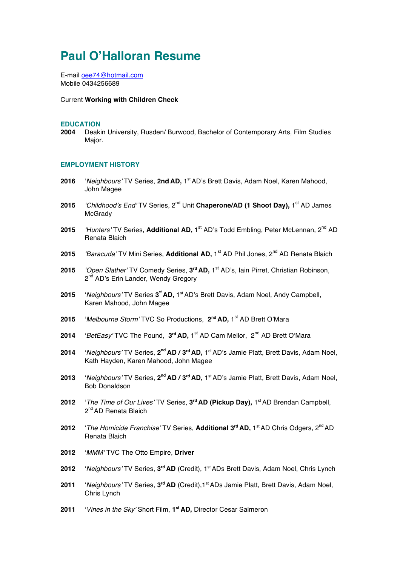# **Paul O'Halloran Resume**

E-mail oee74@hotmail.com Mobile 0434256689

#### Current **Working with Children Check**

#### **EDUCATION**

**2004** Deakin University, Rusden/ Burwood, Bachelor of Contemporary Arts, Film Studies Major.

#### **EMPLOYMENT HISTORY**

- **2016** '*Neighbours'* TV Series, **2nd AD,** 1st AD's Brett Davis, Adam Noel, Karen Mahood, John Magee
- **2015** *'Childhood's End'* TV Series, 2<sup>nd</sup> Unit **Chaperone/AD (1 Shoot Day), 1**<sup>st</sup> AD James **McGrady**
- 2015 *'Hunters'* TV Series, Additional AD, 1<sup>st</sup> AD's Todd Embling, Peter McLennan, 2<sup>nd</sup> AD Renata Blaich
- **2015** *'Baracuda'* TV Mini Series, **Additional AD,** 1<sup>st</sup> AD Phil Jones, 2<sup>nd</sup> AD Renata Blaich
- 2015 *'Open Slather'* TV Comedy Series, 3<sup>rd</sup> AD, 1<sup>st</sup> AD's, Iain Pirret, Christian Robinson, 2<sup>nd</sup> AD's Erin Lander, Wendy Gregory
- 2015 *'Neighbours'* TV Series 3<sup>"</sup> AD, 1<sup>st</sup> AD's Brett Davis, Adam Noel, Andy Campbell, Karen Mahood, John Magee
- **2015** '*Melbourne Storm'* TVC So Productions, **2nd AD,** 1st AD Brett O'Mara
- 2014 *'BetEasy'* TVC The Pound, 3<sup>rd</sup> AD, 1<sup>st</sup> AD Cam Mellor, 2<sup>nd</sup> AD Brett O'Mara
- **2014** '*Neighbours'* TV Series, **2nd AD / 3rd AD,** 1st AD's Jamie Platt, Brett Davis, Adam Noel, Kath Hayden, Karen Mahood, John Magee
- **2013** '*Neighbours'* TV Series, **2nd AD / 3rd AD,** 1st AD's Jamie Platt, Brett Davis, Adam Noel, Bob Donaldson
- **2012** '*The Time of Our Lives'* TV Series, **3rd AD (Pickup Day),** 1st AD Brendan Campbell,  $2^{nd}$  AD Renata Blaich
- **2012** '*The Homicide Franchise'* TV Series, **Additional 3rd AD,** 1st AD Chris Odgers, 2nd AD Renata Blaich
- **2012** '*MMM'* TVC The Otto Empire, **Driver**
- **2012** '*Neighbours'* TV Series, **3rd AD** (Credit), 1st ADs Brett Davis, Adam Noel, Chris Lynch
- **2011** '*Neighbours'* TV Series, **3rd AD** (Credit),1st ADs Jamie Platt, Brett Davis, Adam Noel, Chris Lynch
- **2011** '*Vines in the Sky'* Short Film, **1st AD,** Director Cesar Salmeron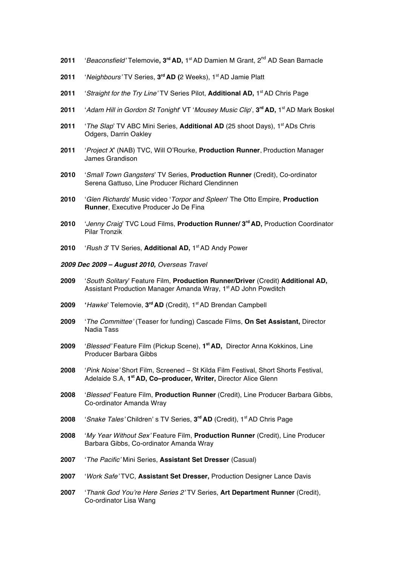- **2011** '*Beaconsfield'* Telemovie**, 3rd AD,** 1st AD Damien M Grant, 2nd AD Sean Barnacle
- **2011** '*Neighbours'* TV Series, **3rd AD (**2 Weeks), 1st AD Jamie Platt
- 2011 *'Straight for the Try Line'* TV Series Pilot, **Additional AD,** 1<sup>st</sup> AD Chris Page
- **2011** '*Adam Hill in Gordon St Tonight*' VT '*Mousey Music Clip*', **3rd AD,** 1st AD Mark Boskel
- **2011** *'The Slap*' TV ABC Mini Series, **Additional AD** (25 shoot Days), 1<sup>st</sup> ADs Chris Odgers, Darrin Oakley
- **2011** '*Project X*' (NAB) TVC, Will O'Rourke, **Production Runner**, Production Manager James Grandison
- **2010** '*Small Town Gangsters*' TV Series, **Production Runner** (Credit), Co-ordinator Serena Gattuso, Line Producer Richard Clendinnen
- **2010** '*Glen Richards*' Music video '*Torpor and Spleen*' The Otto Empire, **Production Runner**, Executive Producer Jo De Fina
- **2010** '*Jenny Craig*' TVC Loud Films, **Production Runner/ 3rd AD,** Production Coordinator Pilar Tronzik
- **2010** '*Rush 3*' TV Series, **Additional AD,** 1st AD Andy Power
- *2009 Dec 2009 – August 2010, Overseas Travel*
- **2009** '*South Solitary*' Feature Film, **Production Runner/Driver** (Credit) **Additional AD,** Assistant Production Manager Amanda Wray, 1<sup>st</sup> AD John Powditch
- 2009 'Hawke' Telemovie, 3<sup>rd</sup> AD (Credit), 1<sup>st</sup> AD Brendan Campbell
- **2009** '*The Committee'* (Teaser for funding) Cascade Films, **On Set Assistant,** Director Nadia Tass
- **2009** '*Blessed'* Feature Film (Pickup Scene), **1st AD,** Director Anna Kokkinos, Line Producer Barbara Gibbs
- **2008** '*Pink Noise'* Short Film, Screened St Kilda Film Festival, Short Shorts Festival, Adelaide S.A, **1st AD, Co–producer, Writer,** Director Alice Glenn
- **2008** '*Blessed'* Feature Film, **Production Runner** (Credit), Line Producer Barbara Gibbs, Co-ordinator Amanda Wray
- **2008** '*Snake Tales'* Children' s TV Series, **3rd AD** (Credit), 1st AD Chris Page
- **2008** '*My Year Without Sex'* Feature Film, **Production Runner** (Credit), Line Producer Barbara Gibbs, Co-ordinator Amanda Wray
- **2007** '*The Pacific'* Mini Series, **Assistant Set Dresser** (Casual)
- **2007** '*Work Safe'* TVC, **Assistant Set Dresser,** Production Designer Lance Davis
- **2007** '*Thank God You're Here Series 2'* TV Series, **Art Department Runner** (Credit), Co-ordinator Lisa Wang